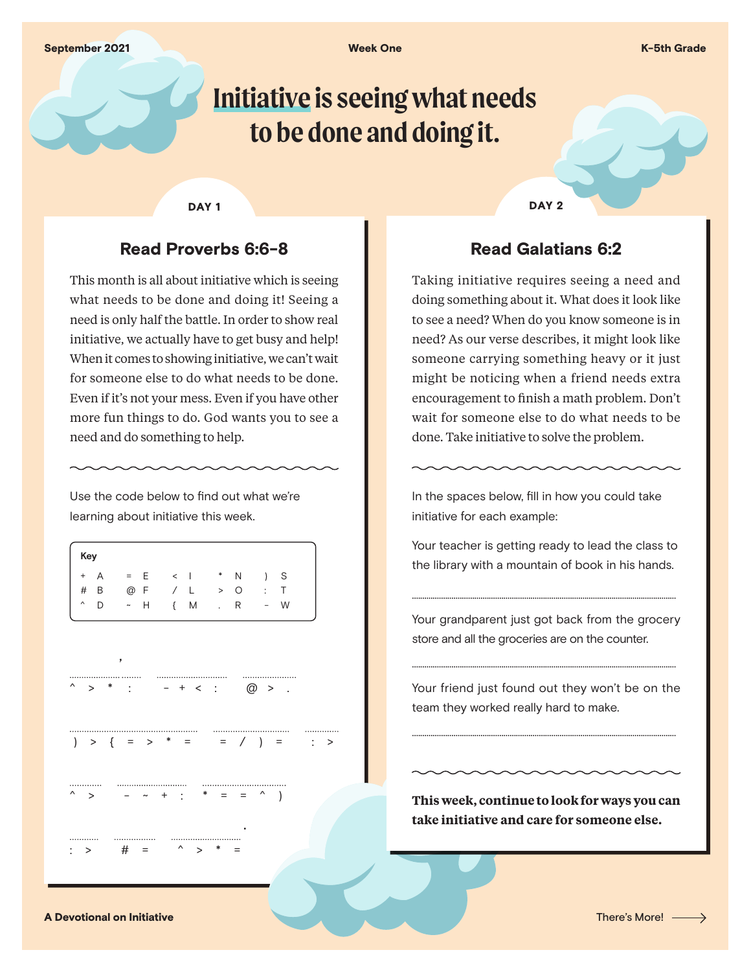# **Initiative is seeing what needs to be done and doing it.**

#### DAY<sub>1</sub>

## Read Proverbs 6:6-8

This month is all about initiative which is seeing what needs to be done and doing it! Seeing a need is only half the battle. In order to show real initiative, we actually have to get busy and help! When it comes to showing initiative, we can't wait for someone else to do what needs to be done. Even if it's not your mess. Even if you have other more fun things to do. God wants you to see a need and do something to help.

Use the code below to find out what we're learning about initiative this week.

|          | Key   |         |     |  |         |               |   |   |     |  |
|----------|-------|---------|-----|--|---------|---------------|---|---|-----|--|
|          | $+ A$ | $=$ $E$ |     |  |         | $\lt$   $*$ N |   |   | ) S |  |
|          | $#$ B |         | @ F |  | / L     | > 0           |   |   | : T |  |
| $\hat{}$ | D     | ~ H     |     |  | $\{M\}$ | $\mathbf{L}$  | R | - | W   |  |
|          |       |         |     |  |         |               |   |   |     |  |

**'**

 $\hat{\ }$  > \*  $- + <$  .  $\oslash$  >

) > { = > \* = = /  $\sim$  +  $\cdot$  \* = = ^

 **.**

DAY<sub>2</sub>

## Read Galatians 6:2

Taking initiative requires seeing a need and doing something about it. What does it look like to see a need? When do you know someone is in need? As our verse describes, it might look like someone carrying something heavy or it just might be noticing when a friend needs extra encouragement to finish a math problem. Don't wait for someone else to do what needs to be done. Take initiative to solve the problem.

In the spaces below, fill in how you could take initiative for each example:

Your teacher is getting ready to lead the class to the library with a mountain of book in his hands.

...............................................................................................................................

Your grandparent just got back from the grocery store and all the groceries are on the counter.

Your friend just found out they won't be on the team they worked really hard to make.

...............................................................................................................................

...............................................................................................................................

**This week, continue to look for ways you can take initiative and care for someone else.**

A Devotional on Initiative **There's More!** A state of the state of the state of the state of the state of the state of the state of the state of the state of the state of the state of the state of the state of the state of

 $\cdot$  >  $\qquad$  # =  $\wedge$  >